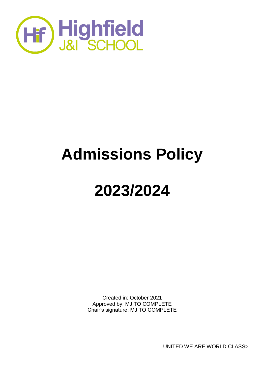

# **Admissions Policy**

## **2023/2024**

Created in: October 2021 Approved by: MJ TO COMPLETE Chair's signature: MJ TO COMPLETE

UNITED WE ARE WORLD CLASS>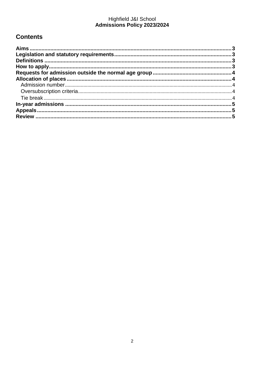### Highfield J&I School<br>Admissions Policy 2023/2024

#### **Contents**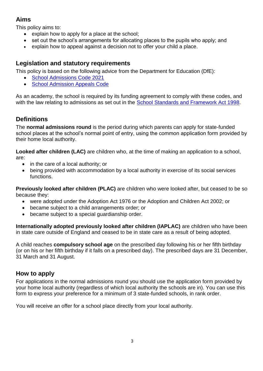#### <span id="page-2-0"></span>**Aims**

This policy aims to:

- explain how to apply for a place at the school;
- set out the school's arrangements for allocating places to the pupils who apply; and
- explain how to appeal against a decision not to offer your child a place.

#### <span id="page-2-1"></span>**Legislation and statutory requirements**

This policy is based on the following advice from the Department for Education (DfE):

- [School Admissions Code 2021](https://www.gov.uk/government/publications/school-admissions-code--2)
- [School Admission Appeals Code](https://www.gov.uk/government/publications/school-admissions-appeals-code)

As an academy, the school is required by its funding agreement to comply with these codes, and with the law relating to admissions as set out in the [School Standards and Framework Act 1998.](http://www.legislation.gov.uk/ukpga/1998/31/contents)

#### <span id="page-2-2"></span>**Definitions**

The **normal admissions round** is the period during which parents can apply for state-funded school places at the school's normal point of entry, using the common application form provided by their home local authority.

**Looked after children (LAC)** are children who, at the time of making an application to a school, are:

- in the care of a local authority; or
- being provided with accommodation by a local authority in exercise of its social services functions.

**Previously looked after children (PLAC)** are children who were looked after, but ceased to be so because they:

- were adopted under the Adoption Act 1976 or the Adoption and Children Act 2002; or
- became subject to a child arrangements order; or
- became subject to a special guardianship order.

**Internationally adopted previously looked after children (IAPLAC)** are children who have been in state care outside of England and ceased to be in state care as a result of being adopted.

A child reaches **compulsory school age** on the prescribed day following his or her fifth birthday (or on his or her fifth birthday if it falls on a prescribed day). The prescribed days are 31 December, 31 March and 31 August.

#### <span id="page-2-3"></span>**How to apply**

For applications in the normal admissions round you should use the application form provided by your home local authority (regardless of which local authority the schools are in). You can use this form to express your preference for a minimum of 3 state-funded schools, in rank order.

You will receive an offer for a school place directly from your local authority.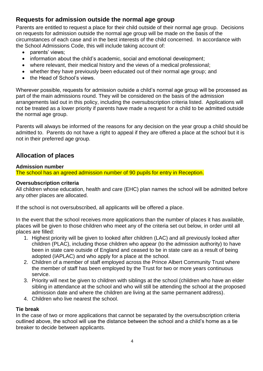#### <span id="page-3-0"></span>**Requests for admission outside the normal age group**

Parents are entitled to request a place for their child outside of their normal age group. Decisions on requests for admission outside the normal age group will be made on the basis of the circumstances of each case and in the best interests of the child concerned. In accordance with the School Admissions Code, this will include taking account of:

- parents' views;
- information about the child's academic, social and emotional development;
- where relevant, their medical history and the views of a medical professional;
- whether they have previously been educated out of their normal age group; and
- the Head of School's views.

Wherever possible, requests for admission outside a child's normal age group will be processed as part of the main admissions round. They will be considered on the basis of the admission arrangements laid out in this policy, including the oversubscription criteria listed. Applications will not be treated as a lower priority if parents have made a request for a child to be admitted outside the normal age group.

Parents will always be informed of the reasons for any decision on the year group a child should be admitted to. Parents do not have a right to appeal if they are offered a place at the school but it is not in their preferred age group.

#### <span id="page-3-1"></span>**Allocation of places**

#### <span id="page-3-2"></span>**Admission number**

The school has an agreed admission number of 90 pupils for entry in Reception.

#### <span id="page-3-3"></span>**Oversubscription criteria**

All children whose education, health and care (EHC) plan names the school will be admitted before any other places are allocated.

If the school is not oversubscribed, all applicants will be offered a place.

In the event that the school receives more applications than the number of places it has available, places will be given to those children who meet any of the criteria set out below, in order until all places are filled:

- 1. Highest priority will be given to looked after children (LAC) and all previously looked after children (PLAC), including those children who appear (to the admission authority) to have been in state care outside of England and ceased to be in state care as a result of being adopted (IAPLAC) and who apply for a place at the school.
- 2. Children of a member of staff employed across the Prince Albert Community Trust where the member of staff has been employed by the Trust for two or more years continuous service.
- 3. Priority will next be given to children with siblings at the school (children who have an elder sibling in attendance at the school and who will still be attending the school at the proposed admission date and where the children are living at the same permanent address).
- 4. Children who live nearest the school.

#### <span id="page-3-4"></span>**Tie break**

In the case of two or more applications that cannot be separated by the oversubscription criteria outlined above, the school will use the distance between the school and a child's home as a tie breaker to decide between applicants.